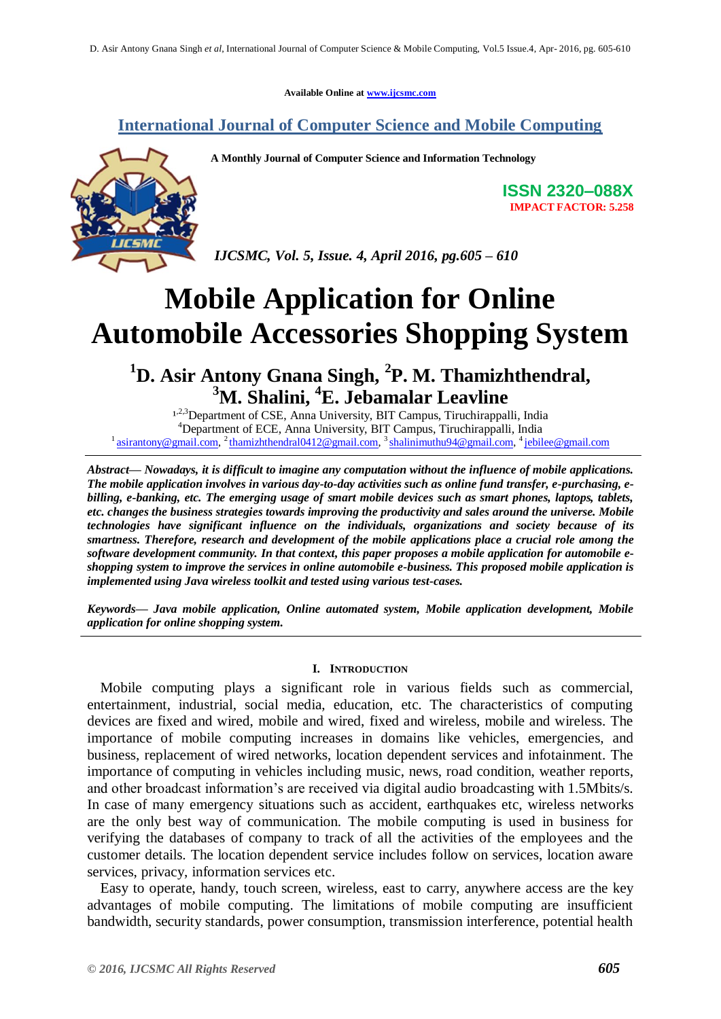**Available Online at [www.ijcsmc.com](http://www.ijcsmc.com/)**

### **International Journal of Computer Science and Mobile Computing**



**A Monthly Journal of Computer Science and Information Technology**

**ISSN 2320–088X IMPACT FACTOR: 5.258**

*IJCSMC, Vol. 5, Issue. 4, April 2016, pg.605 – 610*

# **Mobile Application for Online Automobile Accessories Shopping System**

## **<sup>1</sup>D. Asir Antony Gnana Singh, <sup>2</sup> P. M. Thamizhthendral, <sup>3</sup>M. Shalini, <sup>4</sup>E. Jebamalar Leavline**

1,2,3 Department of CSE, Anna University, BIT Campus, Tiruchirappalli, India <sup>4</sup>Department of ECE, Anna University, BIT Campus, Tiruchirappalli, India <sup>1</sup> [asirantony@gmail.com,](mailto:asirantony@gmail.com) <sup>2</sup> [thamizhthendral0412@gmail.com,](mailto:thamizhthendral0412@gmail.com) <sup>3</sup> [shalinimuthu94@gmail.com,](mailto:shalinimuthu94@gmail.com) <sup>4</sup> [jebilee@gmail.com](mailto:jebilee@gmail.com)

*Abstract— Nowadays, it is difficult to imagine any computation without the influence of mobile applications. The mobile application involves in various day-to-day activities such as online fund transfer, e-purchasing, ebilling, e-banking, etc. The emerging usage of smart mobile devices such as smart phones, laptops, tablets, etc. changes the business strategies towards improving the productivity and sales around the universe. Mobile technologies have significant influence on the individuals, organizations and society because of its smartness. Therefore, research and development of the mobile applications place a crucial role among the software development community. In that context, this paper proposes a mobile application for automobile eshopping system to improve the services in online automobile e-business. This proposed mobile application is implemented using Java wireless toolkit and tested using various test-cases.*

*Keywords— Java mobile application, Online automated system, Mobile application development, Mobile application for online shopping system.*

#### **I. INTRODUCTION**

Mobile computing plays a significant role in various fields such as commercial, entertainment, industrial, social media, education, etc. The characteristics of computing devices are fixed and wired, mobile and wired, fixed and wireless, mobile and wireless. The importance of mobile computing increases in domains like vehicles, emergencies, and business, replacement of wired networks, location dependent services and infotainment. The importance of computing in vehicles including music, news, road condition, weather reports, and other broadcast information's are received via digital audio broadcasting with 1.5Mbits/s. In case of many emergency situations such as accident, earthquakes etc, wireless networks are the only best way of communication. The mobile computing is used in business for verifying the databases of company to track of all the activities of the employees and the customer details. The location dependent service includes follow on services, location aware services, privacy, information services etc.

Easy to operate, handy, touch screen, wireless, east to carry, anywhere access are the key advantages of mobile computing. The limitations of mobile computing are insufficient bandwidth, security standards, power consumption, transmission interference, potential health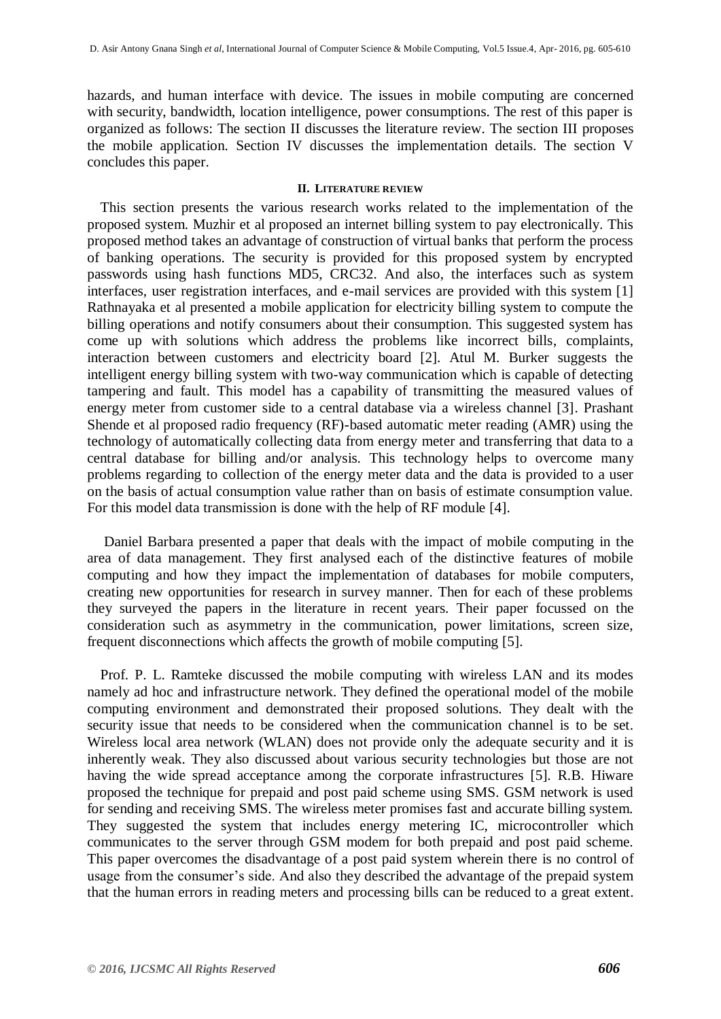hazards, and human interface with device. The issues in mobile computing are concerned with security, bandwidth, location intelligence, power consumptions. The rest of this paper is organized as follows: The section II discusses the literature review. The section III proposes the mobile application. Section IV discusses the implementation details. The section V concludes this paper.

#### **II. LITERATURE REVIEW**

This section presents the various research works related to the implementation of the proposed system. Muzhir et al proposed an internet billing system to pay electronically. This proposed method takes an advantage of construction of virtual banks that perform the process of banking operations. The security is provided for this proposed system by encrypted passwords using hash functions MD5, CRC32. And also, the interfaces such as system interfaces, user registration interfaces, and e-mail services are provided with this system [1] Rathnayaka et al presented a mobile application for electricity billing system to compute the billing operations and notify consumers about their consumption. This suggested system has come up with solutions which address the problems like incorrect bills, complaints, interaction between customers and electricity board [2]. Atul M. Burker suggests the intelligent energy billing system with two-way communication which is capable of detecting tampering and fault. This model has a capability of transmitting the measured values of energy meter from customer side to a central database via a wireless channel [3]. Prashant Shende et al proposed radio frequency (RF)-based automatic meter reading (AMR) using the technology of automatically collecting data from energy meter and transferring that data to a central database for billing and/or analysis. This technology helps to overcome many problems regarding to collection of the energy meter data and the data is provided to a user on the basis of actual consumption value rather than on basis of estimate consumption value. For this model data transmission is done with the help of RF module [4].

Daniel Barbara presented a paper that deals with the impact of mobile computing in the area of data management. They first analysed each of the distinctive features of mobile computing and how they impact the implementation of databases for mobile computers, creating new opportunities for research in survey manner. Then for each of these problems they surveyed the papers in the literature in recent years. Their paper focussed on the consideration such as asymmetry in the communication, power limitations, screen size, frequent disconnections which affects the growth of mobile computing [5].

Prof. P. L. Ramteke discussed the mobile computing with wireless LAN and its modes namely ad hoc and infrastructure network. They defined the operational model of the mobile computing environment and demonstrated their proposed solutions. They dealt with the security issue that needs to be considered when the communication channel is to be set. Wireless local area network (WLAN) does not provide only the adequate security and it is inherently weak. They also discussed about various security technologies but those are not having the wide spread acceptance among the corporate infrastructures [5]. R.B. Hiware proposed the technique for prepaid and post paid scheme using SMS. GSM network is used for sending and receiving SMS. The wireless meter promises fast and accurate billing system. They suggested the system that includes energy metering IC, microcontroller which communicates to the server through GSM modem for both prepaid and post paid scheme. This paper overcomes the disadvantage of a post paid system wherein there is no control of usage from the consumer's side. And also they described the advantage of the prepaid system that the human errors in reading meters and processing bills can be reduced to a great extent.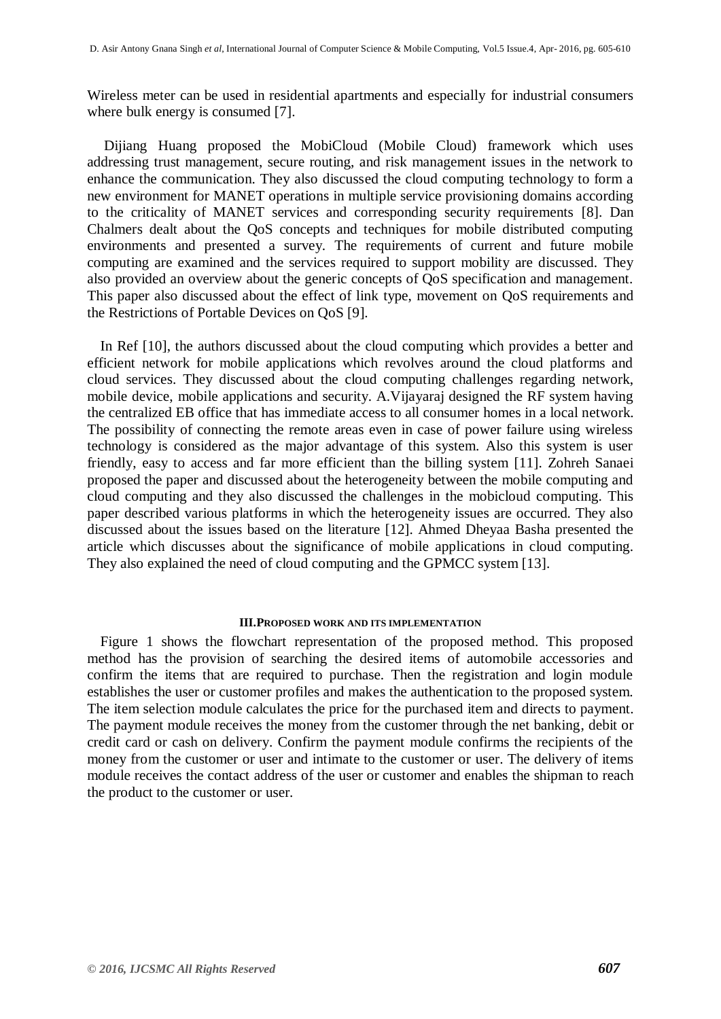Wireless meter can be used in residential apartments and especially for industrial consumers where bulk energy is consumed [7].

Dijiang Huang proposed the MobiCloud (Mobile Cloud) framework which uses addressing trust management, secure routing, and risk management issues in the network to enhance the communication. They also discussed the cloud computing technology to form a new environment for MANET operations in multiple service provisioning domains according to the criticality of MANET services and corresponding security requirements [8]. Dan Chalmers dealt about the QoS concepts and techniques for mobile distributed computing environments and presented a survey. The requirements of current and future mobile computing are examined and the services required to support mobility are discussed. They also provided an overview about the generic concepts of QoS specification and management. This paper also discussed about the effect of link type, movement on QoS requirements and the Restrictions of Portable Devices on QoS [9].

In Ref [10], the authors discussed about the cloud computing which provides a better and efficient network for mobile applications which revolves around the cloud platforms and cloud services. They discussed about the cloud computing challenges regarding network, mobile device, mobile applications and security. A.Vijayaraj designed the RF system having the centralized EB office that has immediate access to all consumer homes in a local network. The possibility of connecting the remote areas even in case of power failure using wireless technology is considered as the major advantage of this system. Also this system is user friendly, easy to access and far more efficient than the billing system [11]. Zohreh Sanaei proposed the paper and discussed about the heterogeneity between the mobile computing and cloud computing and they also discussed the challenges in the mobicloud computing. This paper described various platforms in which the heterogeneity issues are occurred. They also discussed about the issues based on the literature [12]. Ahmed Dheyaa Basha presented the article which discusses about the significance of mobile applications in cloud computing. They also explained the need of cloud computing and the GPMCC system [13].

#### **III.PROPOSED WORK AND ITS IMPLEMENTATION**

Figure 1 shows the flowchart representation of the proposed method. This proposed method has the provision of searching the desired items of automobile accessories and confirm the items that are required to purchase. Then the registration and login module establishes the user or customer profiles and makes the authentication to the proposed system. The item selection module calculates the price for the purchased item and directs to payment. The payment module receives the money from the customer through the net banking, debit or credit card or cash on delivery. Confirm the payment module confirms the recipients of the money from the customer or user and intimate to the customer or user. The delivery of items module receives the contact address of the user or customer and enables the shipman to reach the product to the customer or user.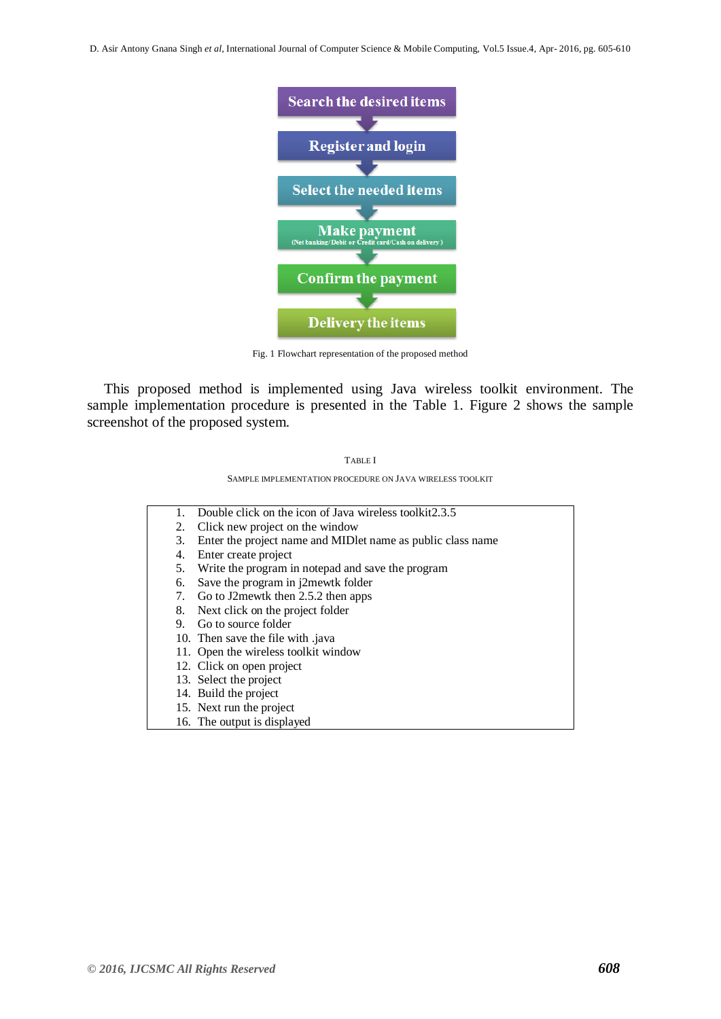D. Asir Antony Gnana Singh *et al*, International Journal of Computer Science & Mobile Computing, Vol.5 Issue.4, Apr- 2016, pg. 605-610



Fig. 1 Flowchart representation of the proposed method

This proposed method is implemented using Java wireless toolkit environment. The sample implementation procedure is presented in the Table 1. Figure 2 shows the sample screenshot of the proposed system.



SAMPLE IMPLEMENTATION PROCEDURE ON JAVA WIRELESS TOOLKIT

1. Double click on the icon of Java wireless toolkit2.3.5 2. Click new project on the window 3. Enter the project name and MIDlet name as public class name 4. Enter create project 5. Write the program in notepad and save the program 6. Save the program in j2mewtk folder 7. Go to J2mewtk then 2.5.2 then apps 8. Next click on the project folder 9. Go to source folder 10. Then save the file with .java 11. Open the wireless toolkit window 12. Click on open project 13. Select the project 14. Build the project 15. Next run the project 16. The output is displayed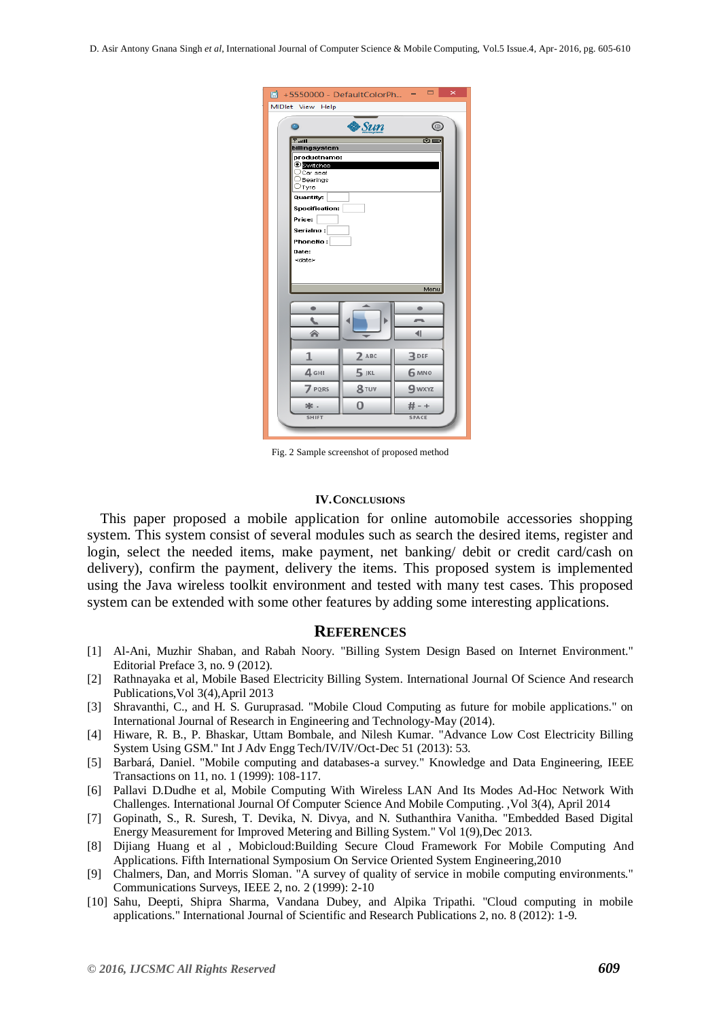| $\blacksquare$ +5550000 - DefaultColorPh -      |                         | $\overline{\mathsf{x}}$ |
|-------------------------------------------------|-------------------------|-------------------------|
| MIDlet View Help                                |                         |                         |
| Θ                                               | $\clubsuit\mathit{Sun}$ | ⊚                       |
|                                                 |                         |                         |
| <b>①图</b><br>$T_{\text{full}}$<br>billingsystem |                         |                         |
| productname:                                    |                         |                         |
| Oswitches<br>$\bigcirc$ car seat                |                         |                         |
| OBearings<br>$\bigcirc$ Tyre                    |                         |                         |
| <b>Quantity:</b>                                |                         |                         |
| <b>Specification:</b>                           |                         |                         |
| Price:                                          |                         |                         |
| Serialno:                                       |                         |                         |
| PhoneNo:<br>Date:                               |                         |                         |
| <date></date>                                   |                         |                         |
|                                                 |                         |                         |
| Menu                                            |                         |                         |
|                                                 |                         |                         |
| ۰                                               |                         | $\bullet$               |
|                                                 |                         |                         |
| ⋒                                               |                         | 41                      |
|                                                 |                         |                         |
| 1                                               | $2$ ABC                 | <b>3</b> DEF            |
| 4 <sub>GHI</sub>                                | $5$ JKL                 | 6 MNO                   |
| 7 PQRS                                          | 8 TUV                   | 9 wxyz                  |
| olic.                                           | 0                       | $# - +$                 |
| <b>SHIFT</b>                                    |                         | <b>SPACE</b>            |
|                                                 |                         |                         |

Fig. 2 Sample screenshot of proposed method

#### **IV.CONCLUSIONS**

This paper proposed a mobile application for online automobile accessories shopping system. This system consist of several modules such as search the desired items, register and login, select the needed items, make payment, net banking/ debit or credit card/cash on delivery), confirm the payment, delivery the items. This proposed system is implemented using the Java wireless toolkit environment and tested with many test cases. This proposed system can be extended with some other features by adding some interesting applications.

#### **REFERENCES**

- [1] Al-Ani, Muzhir Shaban, and Rabah Noory. "Billing System Design Based on Internet Environment." Editorial Preface 3, no. 9 (2012).
- [2] Rathnayaka et al, Mobile Based Electricity Billing System. International Journal Of Science And research Publications,Vol 3(4),April 2013
- [3] Shravanthi, C., and H. S. Guruprasad. "Mobile Cloud Computing as future for mobile applications." on International Journal of Research in Engineering and Technology-May (2014).
- [4] Hiware, R. B., P. Bhaskar, Uttam Bombale, and Nilesh Kumar. "Advance Low Cost Electricity Billing System Using GSM." Int J Adv Engg Tech/IV/IV/Oct-Dec 51 (2013): 53.
- [5] Barbará, Daniel. "Mobile computing and databases-a survey." Knowledge and Data Engineering, IEEE Transactions on 11, no. 1 (1999): 108-117.
- [6] Pallavi D.Dudhe et al, Mobile Computing With Wireless LAN And Its Modes Ad-Hoc Network With Challenges. International Journal Of Computer Science And Mobile Computing. ,Vol 3(4), April 2014
- [7] Gopinath, S., R. Suresh, T. Devika, N. Divya, and N. Suthanthira Vanitha. "Embedded Based Digital Energy Measurement for Improved Metering and Billing System." Vol 1(9),Dec 2013.
- [8] Dijiang Huang et al , Mobicloud:Building Secure Cloud Framework For Mobile Computing And Applications. Fifth International Symposium On Service Oriented System Engineering,2010
- [9] Chalmers, Dan, and Morris Sloman. "A survey of quality of service in mobile computing environments." Communications Surveys, IEEE 2, no. 2 (1999): 2-10
- [10] Sahu, Deepti, Shipra Sharma, Vandana Dubey, and Alpika Tripathi. "Cloud computing in mobile applications." International Journal of Scientific and Research Publications 2, no. 8 (2012): 1-9.